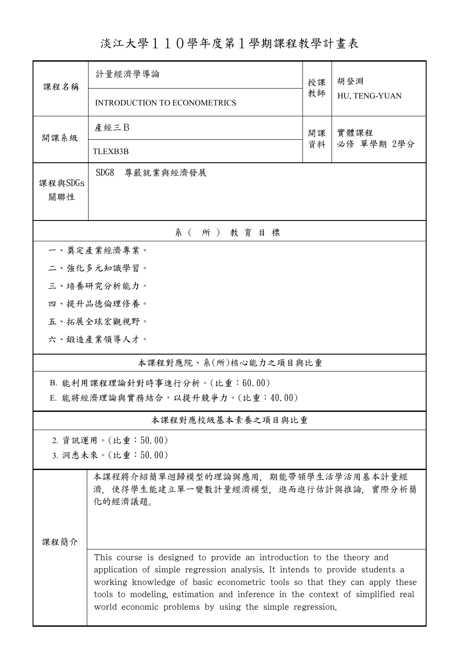淡江大學110學年度第1學期課程教學計畫表

| 課程名稱                               | 計量經濟學導論                                                                                                                                                                                                                                                                                                                                                                      | 授課         | 胡登淵<br>HU, TENG-YUAN |  |  |  |  |  |
|------------------------------------|------------------------------------------------------------------------------------------------------------------------------------------------------------------------------------------------------------------------------------------------------------------------------------------------------------------------------------------------------------------------------|------------|----------------------|--|--|--|--|--|
|                                    | <b>INTRODUCTION TO ECONOMETRICS</b>                                                                                                                                                                                                                                                                                                                                          | 教師         |                      |  |  |  |  |  |
| 開課系級                               | 產經三B                                                                                                                                                                                                                                                                                                                                                                         | 實體課程<br>開課 |                      |  |  |  |  |  |
|                                    | <b>TLEXB3B</b>                                                                                                                                                                                                                                                                                                                                                               | 資料         | 必修 單學期 2學分           |  |  |  |  |  |
| 課程與SDGs<br>關聯性                     | SDG8<br>尊嚴就業與經濟發展                                                                                                                                                                                                                                                                                                                                                            |            |                      |  |  |  |  |  |
|                                    | 系(所)教育目標                                                                                                                                                                                                                                                                                                                                                                     |            |                      |  |  |  |  |  |
|                                    | 一、奠定產業經濟專業。                                                                                                                                                                                                                                                                                                                                                                  |            |                      |  |  |  |  |  |
|                                    | 二、強化多元知識學習。                                                                                                                                                                                                                                                                                                                                                                  |            |                      |  |  |  |  |  |
|                                    | 三、培養研究分析能力。                                                                                                                                                                                                                                                                                                                                                                  |            |                      |  |  |  |  |  |
|                                    | 四、提升品德倫理修養。                                                                                                                                                                                                                                                                                                                                                                  |            |                      |  |  |  |  |  |
|                                    | 五、拓展全球宏觀視野。                                                                                                                                                                                                                                                                                                                                                                  |            |                      |  |  |  |  |  |
|                                    | 六、鍛造產業領導人才。                                                                                                                                                                                                                                                                                                                                                                  |            |                      |  |  |  |  |  |
| 本課程對應院、系(所)核心能力之項目與比重              |                                                                                                                                                                                                                                                                                                                                                                              |            |                      |  |  |  |  |  |
| B. 能利用課程理論針對時事進行分析。(比重:60.00)      |                                                                                                                                                                                                                                                                                                                                                                              |            |                      |  |  |  |  |  |
| E. 能將經濟理論與實務結合, 以提升競爭力。(比重: 40.00) |                                                                                                                                                                                                                                                                                                                                                                              |            |                      |  |  |  |  |  |
|                                    | 本課程對應校級基本素養之項目與比重                                                                                                                                                                                                                                                                                                                                                            |            |                      |  |  |  |  |  |
|                                    | 2. 資訊運用。(比重:50.00)                                                                                                                                                                                                                                                                                                                                                           |            |                      |  |  |  |  |  |
|                                    | 3. 洞悉未來。(比重:50.00)                                                                                                                                                                                                                                                                                                                                                           |            |                      |  |  |  |  |  |
|                                    | 本課程將介紹簡單迴歸模型的理論與應用,期能帶領學生活學活用基本計量經<br>濟,使得學生能建立單一變數計量經濟模型,進而進行估計與推論,實際分析簡<br>化的經濟議題。                                                                                                                                                                                                                                                                                         |            |                      |  |  |  |  |  |
| 课程简介                               |                                                                                                                                                                                                                                                                                                                                                                              |            |                      |  |  |  |  |  |
|                                    | This course is designed to provide an introduction to the theory and<br>application of simple regression analysis. It intends to provide students a<br>working knowledge of basic econometric tools so that they can apply these<br>tools to modeling, estimation and inference in the context of simplified real<br>world economic problems by using the simple regression. |            |                      |  |  |  |  |  |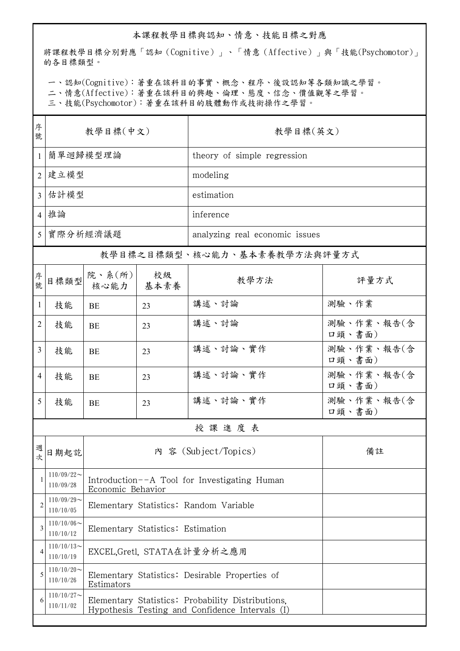## 本課程教學目標與認知、情意、技能目標之對應

將課程教學目標分別對應「認知(Cognitive)」、「情意(Affective)」與「技能(Psychomotor)」 的各目標類型。

一、認知(Cognitive):著重在該科目的事實、概念、程序、後設認知等各類知識之學習。

二、情意(Affective):著重在該科目的興趣、倫理、態度、信念、價值觀等之學習。

三、技能(Psychomotor):著重在該科目的肢體動作或技術操作之學習。

| 序<br>號         | 教學目標(中文)                     |                                                                                                      |            | 教學目標(英文)                       |                      |  |
|----------------|------------------------------|------------------------------------------------------------------------------------------------------|------------|--------------------------------|----------------------|--|
| $\mathbf{1}$   | 簡單迴歸模型理論                     |                                                                                                      |            | theory of simple regression    |                      |  |
|                | 2 建立模型                       |                                                                                                      |            | modeling                       |                      |  |
| 3              | 估計模型                         |                                                                                                      |            | estimation                     |                      |  |
|                | 4 推論                         |                                                                                                      |            | inference                      |                      |  |
|                | 5   實際分析經濟議題                 |                                                                                                      |            | analyzing real economic issues |                      |  |
|                | 教學目標之目標類型、核心能力、基本素養教學方法與評量方式 |                                                                                                      |            |                                |                      |  |
| 序號             | 目標類型                         | 院、系 $(\text{m})$<br>核心能力                                                                             | 校級<br>基本素養 | 教學方法                           | 評量方式                 |  |
| $\mathbf{1}$   | 技能                           | BE                                                                                                   | 23         | 講述、討論                          | 測驗、作業                |  |
| 2              | 技能                           | BE                                                                                                   | 23         | 講述、討論                          | 測驗、作業、報告(含<br>口頭、書面) |  |
| $\overline{3}$ | 技能                           | BE                                                                                                   | 23         | 講述、討論、實作                       | 測驗、作業、報告(含<br>口頭、書面) |  |
| 4              | 技能                           | BE                                                                                                   | 23         | 講述、討論、實作                       | 測驗、作業、報告(含<br>口頭、書面) |  |
| 5              | 技能                           | <b>BE</b>                                                                                            | 23         | 講述、討論、實作                       | 測驗、作業、報告(含<br>口頭、書面) |  |
| 授課進度表          |                              |                                                                                                      |            |                                |                      |  |
| 週次             | 日期起訖                         | 內 容 (Subject/Topics)<br>備註                                                                           |            |                                |                      |  |
|                | $110/09/22$ ~<br>110/09/28   | Introduction--A Tool for Investigating Human<br>Economic Behavior                                    |            |                                |                      |  |
| $\overline{2}$ | $110/09/29$ ~<br>110/10/05   | Elementary Statistics: Random Variable                                                               |            |                                |                      |  |
| 3              | $110/10/06$ ~<br>110/10/12   | Elementary Statistics: Estimation                                                                    |            |                                |                      |  |
| 4              | $110/10/13$ ~<br>110/10/19   | EXCEL,Gretl, STATA在計量分析之應用                                                                           |            |                                |                      |  |
| 5              | $110/10/20$ ~<br>110/10/26   | Elementary Statistics: Desirable Properties of<br>Estimators                                         |            |                                |                      |  |
| 6              | $110/10/27$ ~<br>110/11/02   | Elementary Statistics: Probability Distributions.<br>Hypothesis Testing and Confidence Intervals (I) |            |                                |                      |  |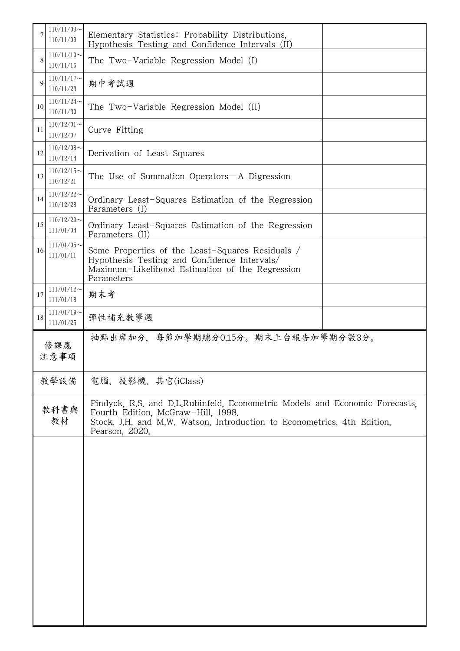|             | $110/11/03$ ~<br>Elementary Statistics: Probability Distributions.<br>110/11/09<br>Hypothesis Testing and Confidence Intervals (II) |                                                                                                                                                                                                                |  |  |  |
|-------------|-------------------------------------------------------------------------------------------------------------------------------------|----------------------------------------------------------------------------------------------------------------------------------------------------------------------------------------------------------------|--|--|--|
| 8           | $110/11/10$ ~<br>110/11/16                                                                                                          | The Two-Variable Regression Model (I)                                                                                                                                                                          |  |  |  |
| $\mathbf Q$ | $110/11/17$ ~<br>期中考試週<br>110/11/23                                                                                                 |                                                                                                                                                                                                                |  |  |  |
| 10          | $110/11/24$ ~<br>The Two-Variable Regression Model (II)<br>110/11/30                                                                |                                                                                                                                                                                                                |  |  |  |
| 11          | $110/12/01$ ~<br>110/12/07                                                                                                          | Curve Fitting                                                                                                                                                                                                  |  |  |  |
| 12          | $110/12/08$ ~<br>110/12/14                                                                                                          | Derivation of Least Squares                                                                                                                                                                                    |  |  |  |
| 13          | $110/12/15$ ~<br>The Use of Summation Operators—A Digression<br>110/12/21                                                           |                                                                                                                                                                                                                |  |  |  |
| 14          | $110/12/22$ ~<br>Ordinary Least-Squares Estimation of the Regression<br>110/12/28<br>Parameters (I)                                 |                                                                                                                                                                                                                |  |  |  |
| 15          | $110/12/29$ ~<br>111/01/04                                                                                                          | Ordinary Least-Squares Estimation of the Regression<br>Parameters (II)                                                                                                                                         |  |  |  |
| 16          | $111/01/05$ ~<br>111/01/11                                                                                                          | Some Properties of the Least-Squares Residuals /<br>Hypothesis Testing and Confidence Intervals/<br>Maximum-Likelihood Estimation of the Regression<br>Parameters                                              |  |  |  |
| 17          | $111/01/12$ ~<br>111/01/18                                                                                                          | 期末考                                                                                                                                                                                                            |  |  |  |
| 18          | $111/01/19$ ~<br>111/01/25                                                                                                          | 彈性補充教學週                                                                                                                                                                                                        |  |  |  |
| 修課應<br>注意事項 |                                                                                                                                     | 抽點出席加分,每節加學期總分0.15分。期末上台報告加學期分數3分。                                                                                                                                                                             |  |  |  |
| 教學設備        |                                                                                                                                     | 電腦、投影機、其它(iClass)                                                                                                                                                                                              |  |  |  |
| 教科書與<br>教材  |                                                                                                                                     | Pindyck, R.S. and D.L.Rubinfeld, Econometric Models and Economic Forecasts,<br>Fourth Edition, McGraw-Hill, 1998.<br>Stock, J.H. and M.W. Watson, Introduction to Econometrics, 4th Edition,<br>Pearson, 2020. |  |  |  |
|             |                                                                                                                                     |                                                                                                                                                                                                                |  |  |  |